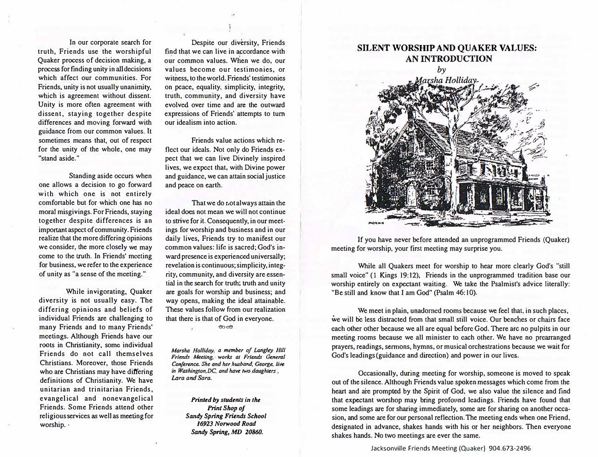**In our corporate search for truth, Friends use the worshipful Quaker process of decision making, a process for finding unity in all decisions which affect our communities. For Friends, unity is not usually unanimity, which is agreement without dissent. Unity is more often agreement with dissent, staying together despite differences and moving forward with guidance from our common values. It sometimes means that, out of respect for the unity of the whole, one may "stand aside."** 

**Standing aside occurs when one allows a decision to go forward with which one is not entirely comfortable but for which one has no moral misgivings. For Friends, staying together despite differences is an important aspect of community. Friends realize that the more differing opinions we consider, the more closely we may**  come to the truth. In Friends' meeting **for business, we refer to the experience of unity as "a sense of the meeting."** 

**While invigorating, Quaker diversity is not usually easy. The differing opinions and beliefs of individual Friends are challenging to many Friends and to many Friends' meetings. Although Friends have our roots in Christianity, some individual Friends do not call themselves Christians. Moreover, those Friends who are Christians may have differing definitions of Christianity. We have unitarian and trinitarian Friends, evangelical and nonevangelical Friends. Some Friends attend other religious services as well as meeting for worship.·** 

**Despite our diversity, Friends**  find that we can live in accordance with our common values. When we do, our **values become our testimonies, or witness, to the world. Friends' testimonies on peace, equality, simplicity, integrity, truth, community, and diversity have evolved over time and are the outward expressions of Friends' attempts to tum our idealism into action.**

**Friends value actions which reflect our ideals. Not only do Friends expect that we can live Divinely inspired lives, we expect that, with Divine power and guidance, we can attain social justice and peace on earth.** 

That we do not always attain the **ideal does not mean we will not continue to strive for** it. **Consequently, in our meetings for worship and business and in our daily lives, Friends try to manifest our common values: life is sacred; God's inward presence is experienced universally; revelation is continuous; simplicity, integ**rity, **community, and di vcrsity are essential in the search for truth; truth and unity are goals for worship and business; and way opens, making the ideal attainable. These values follow from our realization that there is that of God in everyone.**   $\circledcirc$ 

*Marsha Holliday*, a member of Langley Hill **Friends Meeting, works at Friends General** *Conference. She and her husband. George. live* in Washington.DC, and have two daughters. *Lara and Sara.* 

> *Printed by students in the Prinl Shop of Sandy Spring Friends School 16923 Norwood Road Sandy Spring, MD 20860.*

## **SILENT WORSHIP AND QUAKER VALUES: AN INTRODUCTION**



**If you have never before attended an unprogrammed Friends (Quaker) meeting for worship, your first meeting may surprise you.** 

**While all Quakers meet for worship to hear more clearly God's "still small voice" (1 Kings 19:12), Friends in the unprogrammed tradition base our worship entirely on expectant waiting. We take the Psalmist's advice literally: "Be still and know that I am God" (Psalm 46: l 0).** 

**We meet in plain, unadorned rooms because we feel that, in such places, we will** be **less distracted from that small still voice. Our benches or chairs face each other other because we all are equal beforeGod.There arc no pulpits in our meeting rooms because we all minister to each other. We have no prearranged prayers, readings, sermons, hymns, or musical orchestrations because we wait for God's leadings(guidance and direction) and power in our lives.** 

**Occasionally, during meeting for worship, someone is moved to speak out of the silence.Although Friends value spokenmessages which come from the heart and are prompted by the Spirit of God, we also value the silence and find that expectant worshop may bring profound leadings. Friends have found that**  some leadings are for sharing immediately, some are for sharing on another occasion, and some are for our personal reflection. The meeting ends when one Friend, **designated in advance, shakes hands with his or her neighbors. Then everyone shakes hands. No two meetings are ever the same.** 

Jacksonville Friends Meeting (Quaker) 904. 673-2496